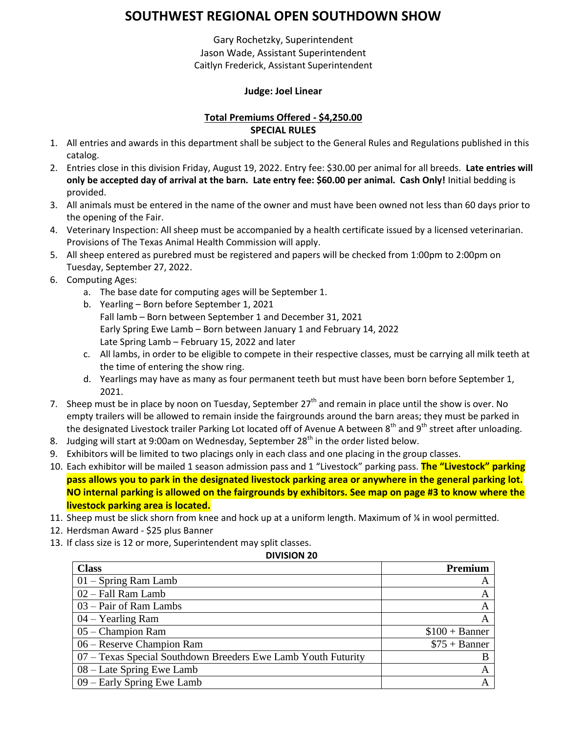# **SOUTHWEST REGIONAL OPEN SOUTHDOWN SHOW**

Gary Rochetzky, Superintendent Jason Wade, Assistant Superintendent Caitlyn Frederick, Assistant Superintendent

### **Judge: Joel Linear**

### **Total Premiums Offered - \$4,250.00 SPECIAL RULES**

- 1. All entries and awards in this department shall be subject to the General Rules and Regulations published in this catalog.
- 2. Entries close in this division Friday, August 19, 2022. Entry fee: \$30.00 per animal for all breeds. **Late entries will only be accepted day of arrival at the barn. Late entry fee: \$60.00 per animal. Cash Only!** Initial bedding is provided.
- 3. All animals must be entered in the name of the owner and must have been owned not less than 60 days prior to the opening of the Fair.
- 4. Veterinary Inspection: All sheep must be accompanied by a health certificate issued by a licensed veterinarian. Provisions of The Texas Animal Health Commission will apply.
- 5. All sheep entered as purebred must be registered and papers will be checked from 1:00pm to 2:00pm on Tuesday, September 27, 2022.
- 6. Computing Ages:
	- a. The base date for computing ages will be September 1.
	- b. Yearling Born before September 1, 2021 Fall lamb – Born between September 1 and December 31, 2021 Early Spring Ewe Lamb – Born between January 1 and February 14, 2022 Late Spring Lamb – February 15, 2022 and later
	- c. All lambs, in order to be eligible to compete in their respective classes, must be carrying all milk teeth at the time of entering the show ring.
	- d. Yearlings may have as many as four permanent teeth but must have been born before September 1, 2021.
- 7. Sheep must be in place by noon on Tuesday, September 27<sup>th</sup> and remain in place until the show is over. No empty trailers will be allowed to remain inside the fairgrounds around the barn areas; they must be parked in the designated Livestock trailer Parking Lot located off of Avenue A between 8<sup>th</sup> and 9<sup>th</sup> street after unloading.
- 8. Judging will start at 9:00am on Wednesday, September 28<sup>th</sup> in the order listed below.
- 9. Exhibitors will be limited to two placings only in each class and one placing in the group classes.
- 10. Each exhibitor will be mailed 1 season admission pass and 1 "Livestock" parking pass. **The "Livestock" parking pass allows you to park in the designated livestock parking area or anywhere in the general parking lot. NO internal parking is allowed on the fairgrounds by exhibitors. See map on page #3 to know where the livestock parking area is located.**
- 11. Sheep must be slick shorn from knee and hock up at a uniform length. Maximum of % in wool permitted.
- 12. Herdsman Award \$25 plus Banner
- 13. If class size is 12 or more, Superintendent may split classes.

#### **DIVISION 20**

| <b>Class</b>                                                  | <b>Premium</b>  |
|---------------------------------------------------------------|-----------------|
| $01 -$ Spring Ram Lamb                                        |                 |
| 02 - Fall Ram Lamb                                            | A               |
| 03 – Pair of Ram Lambs                                        |                 |
| $04 - Yearing Ram$                                            |                 |
| 05 - Champion Ram                                             | $$100 + Banner$ |
| 06 – Reserve Champion Ram                                     | $$75 + Banner$  |
| 07 – Texas Special Southdown Breeders Ewe Lamb Youth Futurity |                 |
| 08 – Late Spring Ewe Lamb                                     |                 |
| 09 – Early Spring Ewe Lamb                                    |                 |